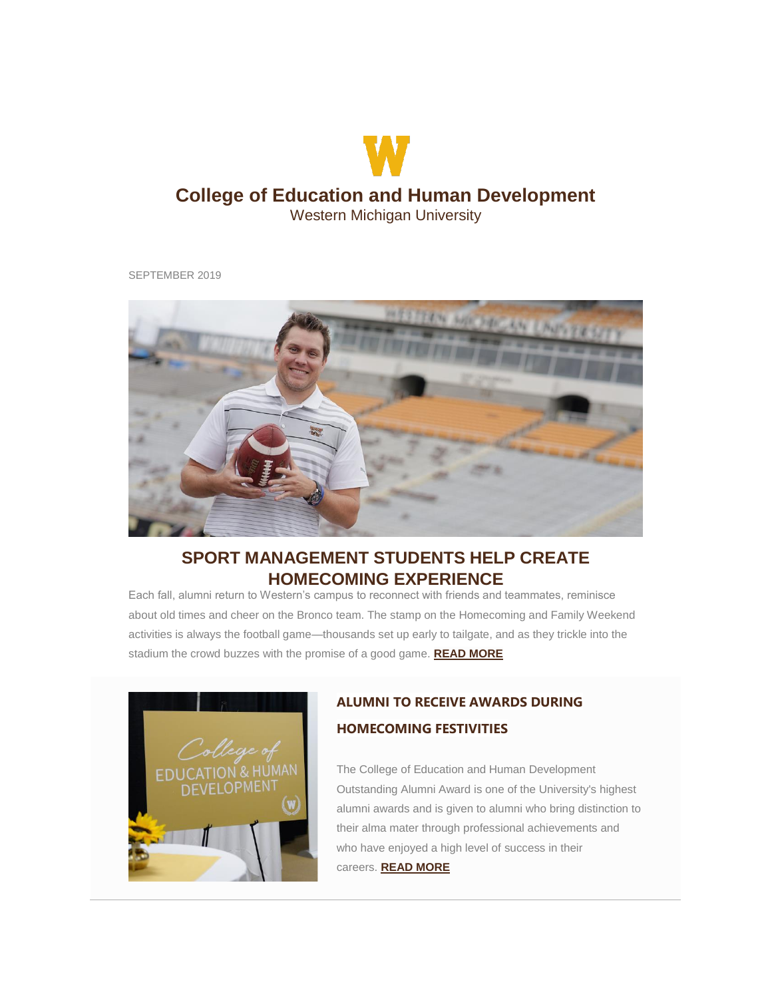# **College of Education and Human Development**

W

Western Michigan University

SEPTEMBER 2019



## **SPORT MANAGEMENT STUDENTS HELP CREATE HOMECOMING EXPERIENCE**

Each fall, alumni return to Western's campus to reconnect with friends and teammates, reminisce about old times and cheer on the Bronco team. The stamp on the Homecoming and Family Weekend activities is always the football game—thousands set up early to tailgate, and as they trickle into the stadium the crowd buzzes with the promise of a good game. **[READ MORE](http://click.e.wmualumni.org/?qs=47c7144b912422e22d57b8a4964b36f121a1fc6ef375d61c595e426babf8f3dacc568d0f4ea1ae366f0ab60430e5f52c8296203b22f3604b)**



## **ALUMNI TO RECEIVE AWARDS DURING HOMECOMING FESTIVITIES**

The College of Education and Human Development Outstanding Alumni Award is one of the University's highest alumni awards and is given to alumni who bring distinction to their alma mater through professional achievements and who have enjoyed a high level of success in their careers. **[READ MORE](http://click.e.wmualumni.org/?qs=47c7144b912422e295ebc0d036556f147c28826fbff03ef1cfd3b8caa9657b7150b00b360c0ed4fa48d87e243e769553b65ebbd4be70116f)**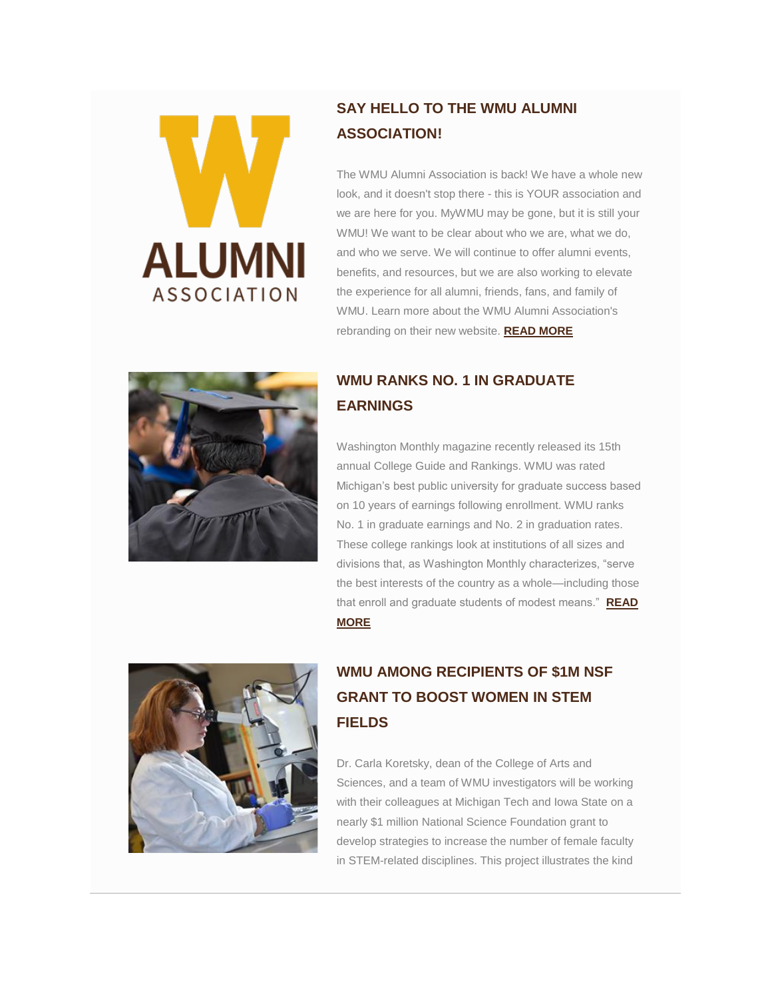

## **SAY HELLO TO THE WMU ALUMNI ASSOCIATION!**

The WMU Alumni Association is back! We have a whole new look, and it doesn't stop there - this is YOUR association and we are here for you. MyWMU may be gone, but it is still your WMU! We want to be clear about who we are, what we do, and who we serve. We will continue to offer alumni events, benefits, and resources, but we are also working to elevate the experience for all alumni, friends, fans, and family of WMU. Learn more about the WMU Alumni Association's rebranding on their new website. **[READ MORE](http://click.e.wmualumni.org/?qs=47c7144b912422e207b62d881b579daf4123cc1f0bc2355e1488cff3f2d182e15a9feaa12f6fce2fcc7a19e5ce8f14395651f3787c40ffa8)**



## **WMU RANKS NO. 1 IN GRADUATE EARNINGS**

Washington Monthly magazine recently released its 15th annual College Guide and Rankings. WMU was rated Michigan's best public university for graduate success based on 10 years of earnings following enrollment. WMU ranks No. 1 in graduate earnings and No. 2 in graduation rates. These college rankings look at institutions of all sizes and divisions that, as Washington Monthly characterizes, "serve the best interests of the country as a whole—including those that enroll and graduate students of modest means." **[READ](http://click.e.wmualumni.org/?qs=47c7144b912422e216f0567eeab35468c76989706b94debec574f6a265610d5bf9d76428cb9e96a7ac66eac68d4b4f5b0443ddf996871ce1)  [MORE](http://click.e.wmualumni.org/?qs=47c7144b912422e216f0567eeab35468c76989706b94debec574f6a265610d5bf9d76428cb9e96a7ac66eac68d4b4f5b0443ddf996871ce1)**



# **WMU AMONG RECIPIENTS OF \$1M NSF GRANT TO BOOST WOMEN IN STEM FIELDS**

Dr. Carla Koretsky, dean of the College of Arts and Sciences, and a team of WMU investigators will be working with their colleagues at Michigan Tech and Iowa State on a nearly \$1 million National Science Foundation grant to develop strategies to increase the number of female faculty in STEM-related disciplines. This project illustrates the kind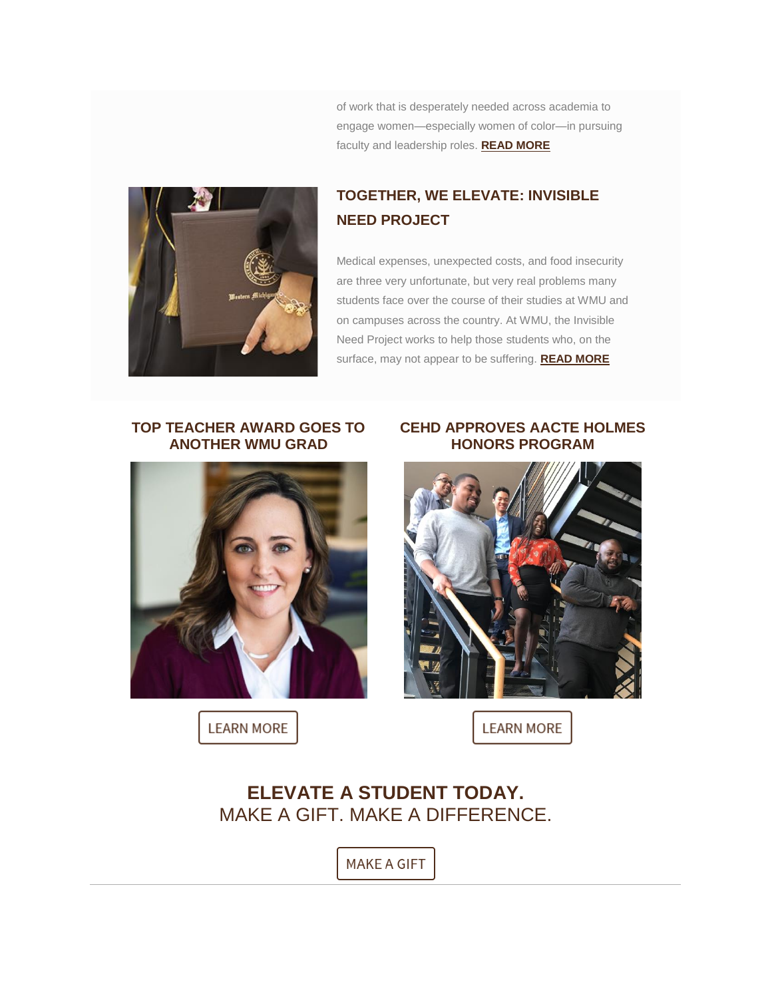of work that is desperately needed across academia to engage women—especially women of color—in pursuing faculty and leadership roles. **[READ MORE](http://click.e.wmualumni.org/?qs=47c7144b912422e2f677cbc809ee227f3b402a898e7ea3d2ff3af4692db49447f71fd7514cc20d6584f544bd64720d19d180d84bbdef64a8)**



## **TOGETHER, WE ELEVATE: INVISIBLE NEED PROJECT**

Medical expenses, unexpected costs, and food insecurity are three very unfortunate, but very real problems many students face over the course of their studies at WMU and on campuses across the country. At WMU, the Invisible Need Project works to help those students who, on the surface, may not appear to be suffering. **[READ MORE](http://click.e.wmualumni.org/?qs=47c7144b912422e2bd39dd013889f865cba8dfdc40cd905c9eb2fc477445794b003f7b64df8a5221f76e3ee8246ec5cd23d160f4bac628ad)**

#### **TOP TEACHER AWARD GOES TO ANOTHER WMU GRAD**



**LEARN MORE** 

#### **CEHD APPROVES AACTE HOLMES HONORS PROGRAM**



**LEARN MORE** 

# **ELEVATE A STUDENT TODAY.**  MAKE A GIFT. MAKE A DIFFERENCE.

**MAKE A GIFT**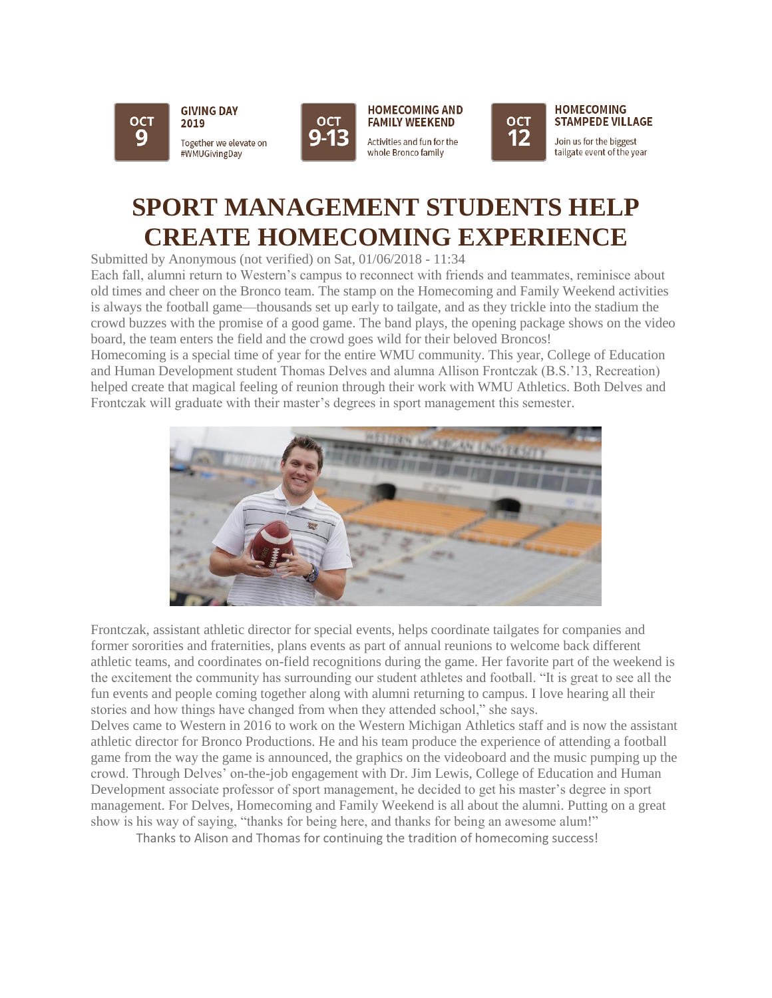







**HOMECOMING STAMPEDE VILLAGE** 

Join us for the biggest tailgate event of the year

# **SPORT MANAGEMENT STUDENTS HELP CREATE HOMECOMING EXPERIENCE**

Submitted by Anonymous (not verified) on Sat, 01/06/2018 - 11:34

Each fall, alumni return to Western's campus to reconnect with friends and teammates, reminisce about old times and cheer on the Bronco team. The stamp on the Homecoming and Family Weekend activities is always the football game—thousands set up early to tailgate, and as they trickle into the stadium the crowd buzzes with the promise of a good game. The band plays, the opening package shows on the video board, the team enters the field and the crowd goes wild for their beloved Broncos!

Homecoming is a special time of year for the entire WMU community. This year, College of Education and Human Development student Thomas Delves and alumna Allison Frontczak (B.S.'13, Recreation) helped create that magical feeling of reunion through their work with WMU Athletics. Both Delves and Frontczak will graduate with their master's degrees in sport management this semester.



Frontczak, assistant athletic director for special events, helps coordinate tailgates for companies and former sororities and fraternities, plans events as part of annual reunions to welcome back different athletic teams, and coordinates on-field recognitions during the game. Her favorite part of the weekend is the excitement the community has surrounding our student athletes and football. "It is great to see all the fun events and people coming together along with alumni returning to campus. I love hearing all their stories and how things have changed from when they attended school," she says.

Delves came to Western in 2016 to work on the Western Michigan Athletics staff and is now the assistant athletic director for Bronco Productions. He and his team produce the experience of attending a football game from the way the game is announced, the graphics on the videoboard and the music pumping up the crowd. Through Delves' on-the-job engagement with Dr. Jim Lewis, College of Education and Human Development associate professor of sport management, he decided to get his master's degree in sport management. For Delves, Homecoming and Family Weekend is all about the alumni. Putting on a great show is his way of saying, "thanks for being here, and thanks for being an awesome alum!"

Thanks to Alison and Thomas for continuing the tradition of homecoming success!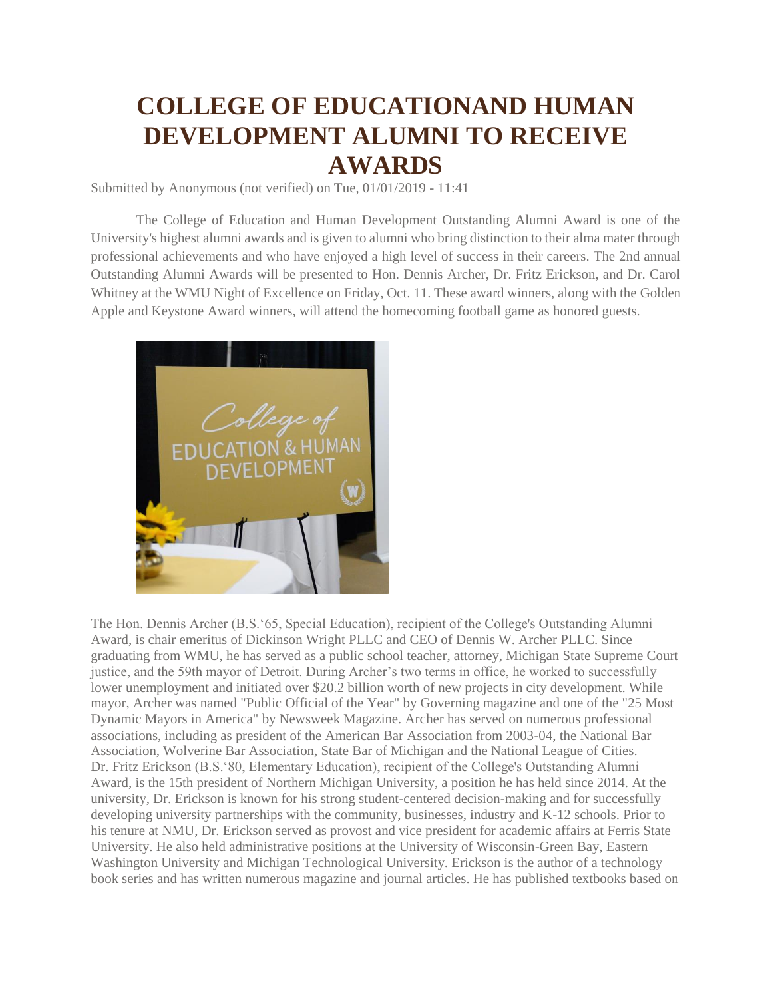# **COLLEGE OF EDUCATIONAND HUMAN DEVELOPMENT ALUMNI TO RECEIVE AWARDS**

Submitted by Anonymous (not verified) on Tue, 01/01/2019 - 11:41

The College of Education and Human Development Outstanding Alumni Award is one of the University's highest alumni awards and is given to alumni who bring distinction to their alma mater through professional achievements and who have enjoyed a high level of success in their careers. The 2nd annual Outstanding Alumni Awards will be presented to Hon. Dennis Archer, Dr. Fritz Erickson, and Dr. Carol Whitney at the WMU Night of Excellence on Friday, Oct. 11. These award winners, along with the Golden Apple and Keystone Award winners, will attend the homecoming football game as honored guests.



The Hon. Dennis Archer (B.S.'65, Special Education), recipient of the College's Outstanding Alumni Award, is chair emeritus of Dickinson Wright PLLC and CEO of Dennis W. Archer PLLC. Since graduating from WMU, he has served as a public school teacher, attorney, Michigan State Supreme Court justice, and the 59th mayor of Detroit. During Archer's two terms in office, he worked to successfully lower unemployment and initiated over \$20.2 billion worth of new projects in city development. While mayor, Archer was named "Public Official of the Year" by Governing magazine and one of the "25 Most Dynamic Mayors in America" by Newsweek Magazine. Archer has served on numerous professional associations, including as president of the American Bar Association from 2003-04, the National Bar Association, Wolverine Bar Association, State Bar of Michigan and the National League of Cities. Dr. Fritz Erickson (B.S.'80, Elementary Education), recipient of the College's Outstanding Alumni Award, is the 15th president of Northern Michigan University, a position he has held since 2014. At the university, Dr. Erickson is known for his strong student-centered decision-making and for successfully developing university partnerships with the community, businesses, industry and K-12 schools. Prior to his tenure at NMU, Dr. Erickson served as provost and vice president for academic affairs at Ferris State University. He also held administrative positions at the University of Wisconsin-Green Bay, Eastern Washington University and Michigan Technological University. Erickson is the author of a technology book series and has written numerous magazine and journal articles. He has published textbooks based on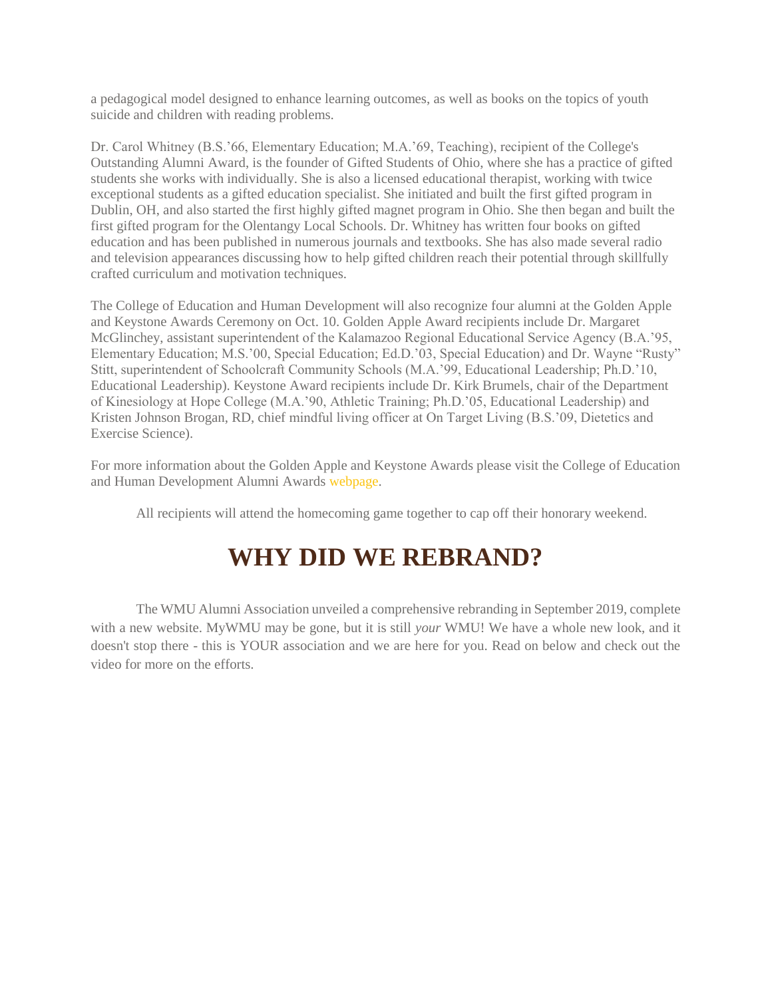a pedagogical model designed to enhance learning outcomes, as well as books on the topics of youth suicide and children with reading problems.

Dr. Carol Whitney (B.S.'66, Elementary Education; M.A.'69, Teaching), recipient of the College's Outstanding Alumni Award, is the founder of Gifted Students of Ohio, where she has a practice of gifted students she works with individually. She is also a licensed educational therapist, working with twice exceptional students as a gifted education specialist. She initiated and built the first gifted program in Dublin, OH, and also started the first highly gifted magnet program in Ohio. She then began and built the first gifted program for the Olentangy Local Schools. Dr. Whitney has written four books on gifted education and has been published in numerous journals and textbooks. She has also made several radio and television appearances discussing how to help gifted children reach their potential through skillfully crafted curriculum and motivation techniques.

The College of Education and Human Development will also recognize four alumni at the Golden Apple and Keystone Awards Ceremony on Oct. 10. Golden Apple Award recipients include Dr. Margaret McGlinchey, assistant superintendent of the Kalamazoo Regional Educational Service Agency (B.A.'95, Elementary Education; M.S.'00, Special Education; Ed.D.'03, Special Education) and Dr. Wayne "Rusty" Stitt, superintendent of Schoolcraft Community Schools (M.A.'99, Educational Leadership; Ph.D.'10, Educational Leadership). Keystone Award recipients include Dr. Kirk Brumels, chair of the Department of Kinesiology at Hope College (M.A.'90, Athletic Training; Ph.D.'05, Educational Leadership) and Kristen Johnson Brogan, RD, chief mindful living officer at On Target Living (B.S.'09, Dietetics and Exercise Science).

For more information about the Golden Apple and Keystone Awards please visit the College of Education and Human Development Alumni Awards webpage.

All recipients will attend the homecoming game together to cap off their honorary weekend.

# **WHY DID WE REBRAND?**

The WMU Alumni Association unveiled a comprehensive rebranding in September 2019, complete with a new website. MyWMU may be gone, but it is still *your* WMU! We have a whole new look, and it doesn't stop there - this is YOUR association and we are here for you. Read on below and check out the video for more on the efforts.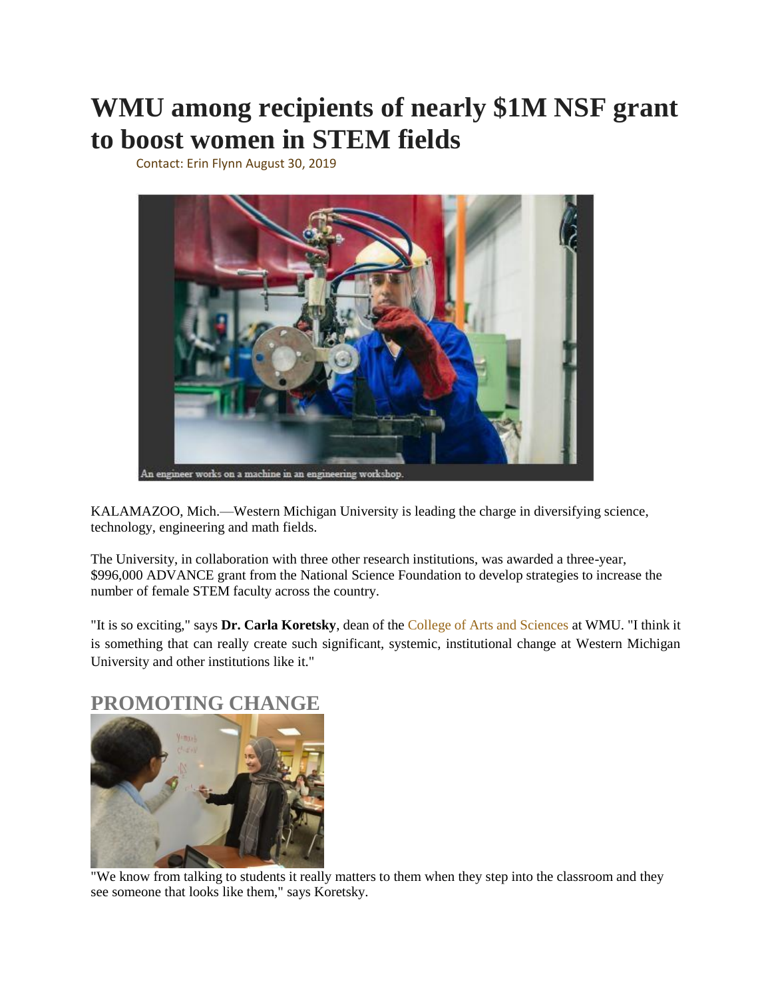# **WMU among recipients of nearly \$1M NSF grant to boost women in STEM fields**

Contact: Erin Flynn August 30, 2019



KALAMAZOO, Mich.—Western Michigan University is leading the charge in diversifying science, technology, engineering and math fields.

The University, in collaboration with three other research institutions, was awarded a three-year, \$996,000 ADVANCE grant from the National Science Foundation to develop strategies to increase the number of female STEM faculty across the country.

"It is so exciting," says **Dr. Carla Koretsky**, dean of the College of Arts and Sciences at WMU. "I think it is something that can really create such significant, systemic, institutional change at Western Michigan University and other institutions like it."

### **PROMOTING CHANGE**



"We know from talking to students it really matters to them when they step into the classroom and they see someone that looks like them," says Koretsky.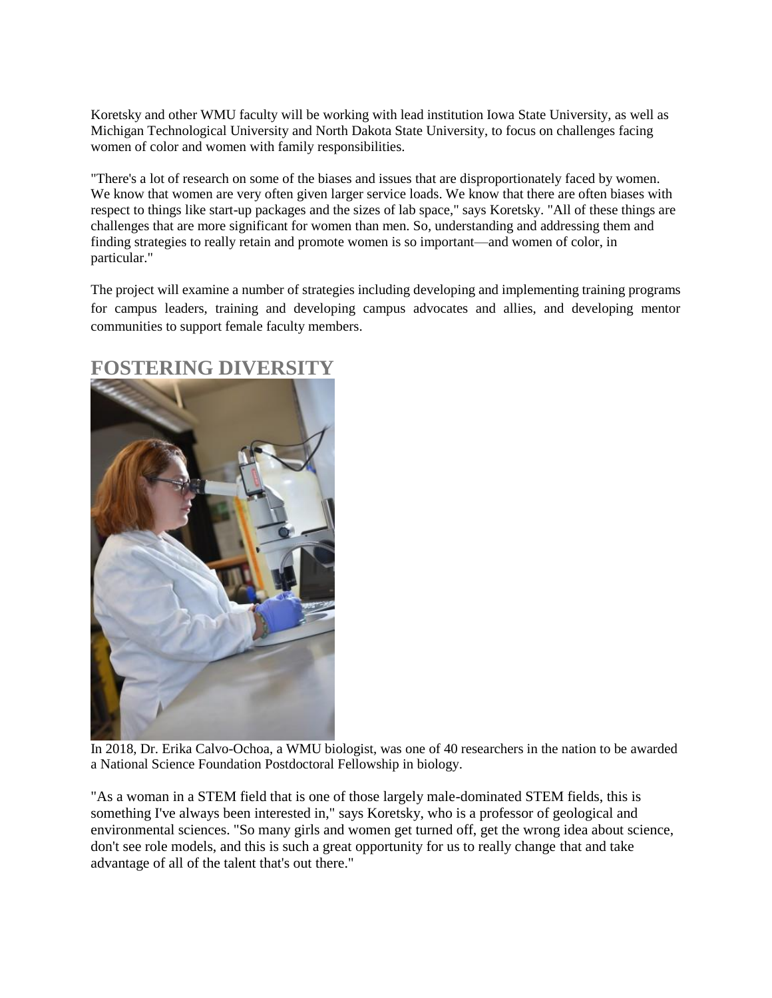Koretsky and other WMU faculty will be working with lead institution Iowa State University, as well as Michigan Technological University and North Dakota State University, to focus on challenges facing women of color and women with family responsibilities.

"There's a lot of research on some of the biases and issues that are disproportionately faced by women. We know that women are very often given larger service loads. We know that there are often biases with respect to things like start-up packages and the sizes of lab space," says Koretsky. "All of these things are challenges that are more significant for women than men. So, understanding and addressing them and finding strategies to really retain and promote women is so important—and women of color, in particular."

The project will examine a number of strategies including developing and implementing training programs for campus leaders, training and developing campus advocates and allies, and developing mentor communities to support female faculty members.



### **FOSTERING DIVERSITY**

In 2018, Dr. Erika Calvo-Ochoa, a WMU biologist, was one of 40 researchers in the nation to be awarded a National Science Foundation Postdoctoral Fellowship in biology.

"As a woman in a STEM field that is one of those largely male-dominated STEM fields, this is something I've always been interested in," says Koretsky, who is a professor of geological and environmental sciences. "So many girls and women get turned off, get the wrong idea about science, don't see role models, and this is such a great opportunity for us to really change that and take advantage of all of the talent that's out there."